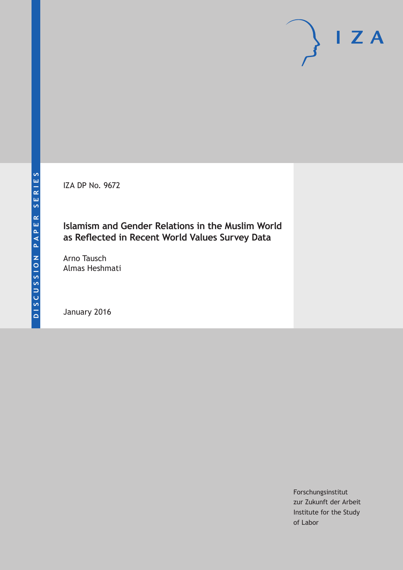IZA DP No. 9672

### **Islamism and Gender Relations in the Muslim World as Reflected in Recent World Values Survey Data**

Arno Tausch Almas Heshmati

January 2016

Forschungsinstitut zur Zukunft der Arbeit Institute for the Study of Labor

 $I Z A$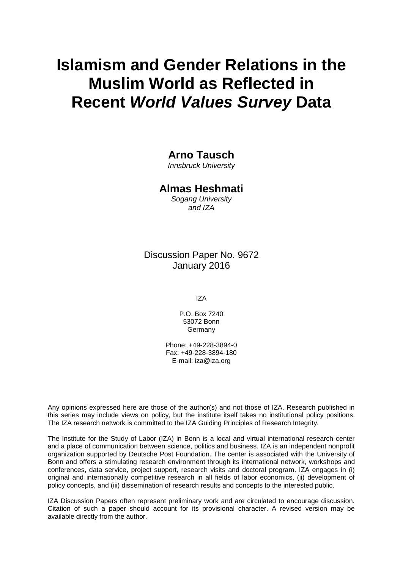# **Islamism and Gender Relations in the Muslim World as Reflected in Recent** *World Values Survey* **Data**

### **Arno Tausch**

*Innsbruck University*

### **Almas Heshmati**

*Sogang University and IZA*

Discussion Paper No. 9672 January 2016

IZA

P.O. Box 7240 53072 Bonn **Germany** 

Phone: +49-228-3894-0 Fax: +49-228-3894-180 E-mail: iza@iza.org

Any opinions expressed here are those of the author(s) and not those of IZA. Research published in this series may include views on policy, but the institute itself takes no institutional policy positions. The IZA research network is committed to the IZA Guiding Principles of Research Integrity.

The Institute for the Study of Labor (IZA) in Bonn is a local and virtual international research center and a place of communication between science, politics and business. IZA is an independent nonprofit organization supported by Deutsche Post Foundation. The center is associated with the University of Bonn and offers a stimulating research environment through its international network, workshops and conferences, data service, project support, research visits and doctoral program. IZA engages in (i) original and internationally competitive research in all fields of labor economics, (ii) development of policy concepts, and (iii) dissemination of research results and concepts to the interested public.

IZA Discussion Papers often represent preliminary work and are circulated to encourage discussion. Citation of such a paper should account for its provisional character. A revised version may be available directly from the author.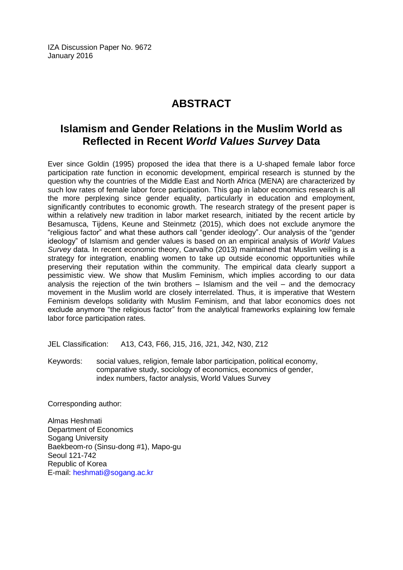IZA Discussion Paper No. 9672 January 2016

# **ABSTRACT**

### **Islamism and Gender Relations in the Muslim World as Reflected in Recent** *World Values Survey* **Data**

Ever since Goldin (1995) proposed the idea that there is a U-shaped female labor force participation rate function in economic development, empirical research is stunned by the question why the countries of the Middle East and North Africa (MENA) are characterized by such low rates of female labor force participation. This gap in labor economics research is all the more perplexing since gender equality, particularly in education and employment, significantly contributes to economic growth. The research strategy of the present paper is within a relatively new tradition in labor market research, initiated by the recent article by Besamusca, Tijdens, Keune and Steinmetz (2015), which does not exclude anymore the "religious factor" and what these authors call "gender ideology". Our analysis of the "gender ideology" of Islamism and gender values is based on an empirical analysis of *World Values Survey* data. In recent economic theory, Carvalho (2013) maintained that Muslim veiling is a strategy for integration, enabling women to take up outside economic opportunities while preserving their reputation within the community. The empirical data clearly support a pessimistic view. We show that Muslim Feminism, which implies according to our data analysis the rejection of the twin brothers  $-$  Islamism and the veil  $-$  and the democracy movement in the Muslim world are closely interrelated. Thus, it is imperative that Western Feminism develops solidarity with Muslim Feminism, and that labor economics does not exclude anymore "the religious factor" from the analytical frameworks explaining low female labor force participation rates.

JEL Classification: A13, C43, F66, J15, J16, J21, J42, N30, Z12

Keywords: social values, religion, female labor participation, political economy, comparative study, sociology of economics, economics of gender, index numbers, factor analysis, World Values Survey

Corresponding author:

Almas Heshmati Department of Economics Sogang University Baekbeom-ro (Sinsu-dong #1), Mapo-gu Seoul 121-742 Republic of Korea E-mail: [heshmati@sogang.ac.kr](mailto:heshmati@sogang.ac.kr)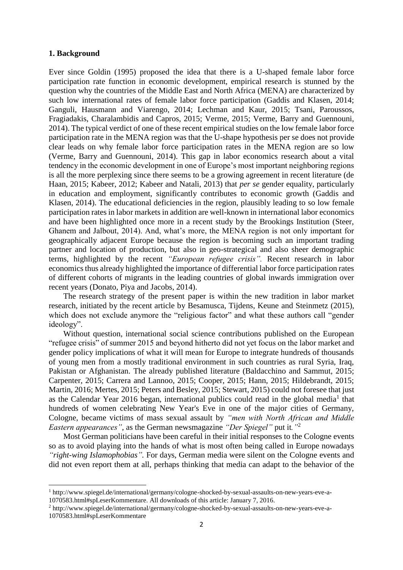#### **1. Background**

**.** 

Ever since Goldin (1995) proposed the idea that there is a U-shaped female labor force participation rate function in economic development, empirical research is stunned by the question why the countries of the Middle East and North Africa (MENA) are characterized by such low international rates of female labor force participation (Gaddis and Klasen, 2014; Ganguli, Hausmann and Viarengo, 2014; Lechman and Kaur, 2015; Tsani, Paroussos, Fragiadakis, Charalambidis and Capros, 2015; Verme, 2015; Verme, Barry and Guennouni, 2014). The typical verdict of one of these recent empirical studies on the low female labor force participation rate in the MENA region was that the U-shape hypothesis per se does not provide clear leads on why female labor force participation rates in the MENA region are so low (Verme, Barry and Guennouni, 2014). This gap in labor economics research about a vital tendency in the economic development in one of Europe's most important neighboring regions is all the more perplexing since there seems to be a growing agreement in recent literature (de Haan, 2015; Kabeer, 2012; Kabeer and Natali, 2013) that *per se* gender equality, particularly in education and employment, significantly contributes to economic growth (Gaddis and Klasen, 2014). The educational deficiencies in the region, plausibly leading to so low female participation rates in labor markets in addition are well-known in international labor economics and have been highlighted once more in a recent study by the Brookings Institution (Steer, Ghanem and Jalbout, 2014). And, what's more, the MENA region is not only important for geographically adjacent Europe because the region is becoming such an important trading partner and location of production, but also in geo-strategical and also sheer demographic terms, highlighted by the recent *"European refugee crisis".* Recent research in labor economics thus already highlighted the importance of differential labor force participation rates of different cohorts of migrants in the leading countries of global inwards immigration over recent years (Donato, Piya and Jacobs, 2014).

The research strategy of the present paper is within the new tradition in labor market research, initiated by the recent article by Besamusca, Tijdens, Keune and Steinmetz (2015), which does not exclude anymore the "religious factor" and what these authors call "gender ideology".

Without question, international social science contributions published on the European "refugee crisis" of summer 2015 and beyond hitherto did not yet focus on the labor market and gender policy implications of what it will mean for Europe to integrate hundreds of thousands of young men from a mostly traditional environment in such countries as rural Syria, Iraq, Pakistan or Afghanistan. The already published literature (Baldacchino and Sammut, 2015; Carpenter, 2015; Carrera and Lannoo, 2015; Cooper, 2015; Hann, 2015; Hildebrandt, 2015; Martin, 2016; Mertes, 2015; Peters and Besley, 2015; Stewart, 2015) could not foresee that just as the Calendar Year 2016 began, international publics could read in the global media<sup>1</sup> that hundreds of women celebrating New Year's Eve in one of the major cities of Germany, Cologne, became victims of mass sexual assault by *"men with North African and Middle Eastern appearances"*, as the German newsmagazine *"Der Spiegel"* put it*."*<sup>2</sup>

Most German politicians have been careful in their initial responses to the Cologne events so as to avoid playing into the hands of what is most often being called in Europe nowadays *"right-wing Islamophobias".* For days, German media were silent on the Cologne events and did not even report them at all, perhaps thinking that media can adapt to the behavior of the

<sup>1</sup> [http://www.spiegel.de/international/germany/cologne-shocked-by-sexual-assaults-on-new-years-eve-a-](http://www.spiegel.de/international/germany/cologne-shocked-by-sexual-assaults-on-new-years-eve-a-1070583.html#spLeserKommentare)[1070583.html#spLeserKommentare.](http://www.spiegel.de/international/germany/cologne-shocked-by-sexual-assaults-on-new-years-eve-a-1070583.html#spLeserKommentare) All downloads of this article: January 7, 2016.

<sup>2</sup> [http://www.spiegel.de/international/germany/cologne-shocked-by-sexual-assaults-on-new-years-eve-a-](http://www.spiegel.de/international/germany/cologne-shocked-by-sexual-assaults-on-new-years-eve-a-1070583.html#spLeserKommentare)[1070583.html#spLeserKommentare](http://www.spiegel.de/international/germany/cologne-shocked-by-sexual-assaults-on-new-years-eve-a-1070583.html#spLeserKommentare)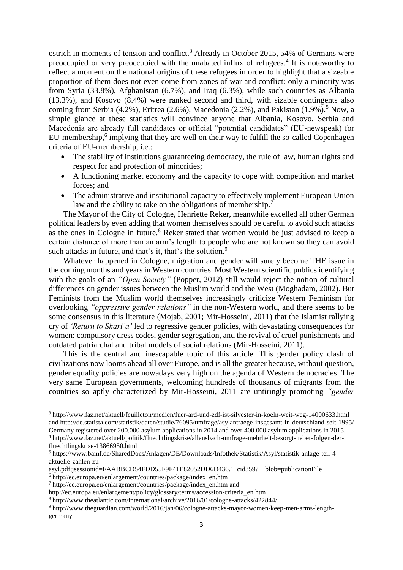ostrich in moments of tension and conflict.<sup>3</sup> Already in October 2015, 54% of Germans were preoccupied or very preoccupied with the unabated influx of refugees.<sup>4</sup> It is noteworthy to reflect a moment on the national origins of these refugees in order to highlight that a sizeable proportion of them does not even come from zones of war and conflict: only a minority was from Syria (33.8%), Afghanistan (6.7%), and Iraq (6.3%), while such countries as Albania (13.3%), and Kosovo (8.4%) were ranked second and third, with sizable contingents also coming from Serbia (4.2%), Eritrea (2.6%), Macedonia (2.2%), and Pakistan (1.9%).<sup>5</sup> Now, a simple glance at these statistics will convince anyone that Albania, Kosovo, Serbia and Macedonia are already full candidates or official "potential candidates" (EU-newspeak) for EU-membership,<sup>6</sup> implying that they are well on their way to fulfill the so-called Copenhagen criteria of EU-membership, i.e.:

- The stability of institutions guaranteeing democracy, the rule of law, human rights and respect for and protection of minorities;
- A functioning market economy and the capacity to cope with competition and market forces; and
- The administrative and institutional capacity to effectively implement European Union law and the ability to take on the obligations of membership.<sup>7</sup>

The Mayor of the City of Cologne, Henriette Reker, meanwhile excelled all other German political leaders by even adding that women themselves should be careful to avoid such attacks as the ones in Cologne in future. <sup>8</sup> Reker stated that women would be just advised to keep a certain distance of more than an arm's length to people who are not known so they can avoid such attacks in future, and that's it, that's the solution.<sup>9</sup>

Whatever happened in Cologne, migration and gender will surely become THE issue in the coming months and years in Western countries. Most Western scientific publics identifying with the goals of an *"Open Society"* (Popper, 2012) still would reject the notion of cultural differences on gender issues between the Muslim world and the West (Moghadam, 2002). But Feminists from the Muslim world themselves increasingly criticize Western Feminism for overlooking *"oppressive gender relations"* in the non-Western world, and there seems to be some consensus in this literature (Mojab, 2001; Mir-Hosseini, 2011) that the Islamist rallying cry of *'Return to Shari'a'* led to regressive gender policies, with devastating consequences for women: compulsory dress codes, gender segregation, and the revival of cruel punishments and outdated patriarchal and tribal models of social relations (Mir-Hosseini, 2011).

This is the central and inescapable topic of this article. This gender policy clash of civilizations now looms ahead all over Europe, and is all the greater because, without question, gender equality policies are nowadays very high on the agenda of Western democracies. The very same European governments, welcoming hundreds of thousands of migrants from the countries so aptly characterized by Mir-Hosseini, 2011 are untiringly promoting *"gender* 

**.** 

<sup>3</sup> <http://www.faz.net/aktuell/feuilleton/medien/fuer-ard-und-zdf-ist-silvester-in-koeln-weit-weg-14000633.html> and<http://de.statista.com/statistik/daten/studie/76095/umfrage/asylantraege-insgesamt-in-deutschland-seit-1995/> Germany registered over 200.000 asylum applications in 2014 and over 400.000 asylum applications in 2015. <sup>4</sup> [http://www.faz.net/aktuell/politik/fluechtlingskrise/allensbach-umfrage-mehrheit-besorgt-ueber-folgen-der](http://www.faz.net/aktuell/politik/fluechtlingskrise/allensbach-umfrage-mehrheit-besorgt-ueber-folgen-der-fluechtlingskrise-13866950.html)[fluechtlingskrise-13866950.html](http://www.faz.net/aktuell/politik/fluechtlingskrise/allensbach-umfrage-mehrheit-besorgt-ueber-folgen-der-fluechtlingskrise-13866950.html)

<sup>5</sup> [https://www.bamf.de/SharedDocs/Anlagen/DE/Downloads/Infothek/Statistik/Asyl/statistik-anlage-teil-4](https://www.bamf.de/SharedDocs/Anlagen/DE/Downloads/Infothek/Statistik/Asyl/statistik-anlage-teil-4-aktuelle-zahlen-zu-asyl.pdf;jsessionid=FAABBCD54FDD55F9F41E82052DD6D436.1_cid359?__blob=publicationFile) [aktuelle-zahlen-zu-](https://www.bamf.de/SharedDocs/Anlagen/DE/Downloads/Infothek/Statistik/Asyl/statistik-anlage-teil-4-aktuelle-zahlen-zu-asyl.pdf;jsessionid=FAABBCD54FDD55F9F41E82052DD6D436.1_cid359?__blob=publicationFile)

[asyl.pdf;jsessionid=FAABBCD54FDD55F9F41E82052DD6D436.1\\_cid359?\\_\\_blob=publicationFile](https://www.bamf.de/SharedDocs/Anlagen/DE/Downloads/Infothek/Statistik/Asyl/statistik-anlage-teil-4-aktuelle-zahlen-zu-asyl.pdf;jsessionid=FAABBCD54FDD55F9F41E82052DD6D436.1_cid359?__blob=publicationFile)

<sup>6</sup> http://ec.europa.eu/enlargement/countries/package/index\_en.htm

<sup>7</sup> [http://ec.europa.eu/enlargement/countries/package/index\\_en.htm](http://ec.europa.eu/enlargement/countries/package/index_en.htm) and

[http://ec.europa.eu/enlargement/policy/glossary/terms/accession-criteria\\_en.htm](http://ec.europa.eu/enlargement/policy/glossary/terms/accession-criteria_en.htm)

<sup>8</sup> http://www.theatlantic.com/international/archive/2016/01/cologne-attacks/422844/

<sup>9</sup> http://www.theguardian.com/world/2016/jan/06/cologne-attacks-mayor-women-keep-men-arms-lengthgermany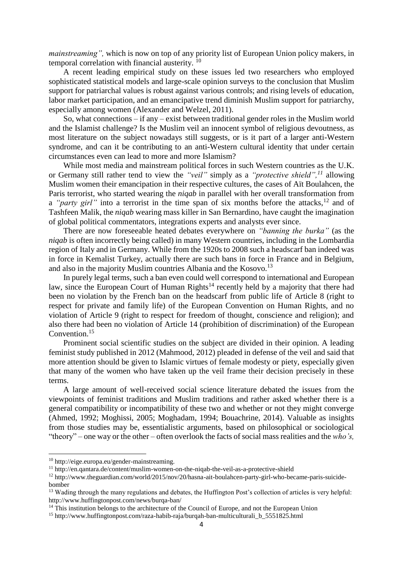*mainstreaming",* which is now on top of any priority list of European Union policy makers, in temporal correlation with financial austerity.<sup>10</sup>

A recent leading empirical study on these issues led two researchers who employed sophisticated statistical models and large-scale opinion surveys to the conclusion that Muslim support for patriarchal values is robust against various controls; and rising levels of education, labor market participation, and an emancipative trend diminish Muslim support for patriarchy, especially among women (Alexander and Welzel, 2011).

So, what connections – if any – exist between traditional gender roles in the Muslim world and the Islamist challenge? Is the Muslim veil an innocent symbol of religious devoutness, as most literature on the subject nowadays still suggests, or is it part of a larger anti-Western syndrome, and can it be contributing to an anti-Western cultural identity that under certain circumstances even can lead to more and more Islamism?

While most media and mainstream political forces in such Western countries as the U.K. or Germany still rather tend to view the *"veil"* simply as a *"protective shield",<sup>11</sup>* allowing Muslim women their emancipation in their respective cultures, the cases of Aït Boulahcen, the Paris terrorist, who started wearing the *niqab* in parallel with her overall transformation from a *"party girl"* into a terrorist in the time span of six months before the attacks,<sup>12</sup> and of Tashfeen Malik, the *niqab* wearing mass killer in San Bernardino, have caught the imagination of global political commentators, integrations experts and analysts ever since.

There are now foreseeable heated debates everywhere on *"banning the burka"* (as the *niqab* is often incorrectly being called) in many Western countries, including in the Lombardia region of Italy and in Germany. While from the 1920s to 2008 such a headscarf ban indeed was in force in Kemalist Turkey, actually there are such bans in force in France and in Belgium, and also in the majority Muslim countries Albania and the Kosovo.<sup>13</sup>

In purely legal terms, such a ban even could well correspond to international and European law, since the European Court of Human Rights<sup>14</sup> recently held by a majority that there had been no violation by the French ban on the headscarf from public life of Article 8 (right to respect for private and family life) of the European Convention on Human Rights, and no violation of Article 9 (right to respect for freedom of thought, conscience and religion); and also there had been no violation of Article 14 (prohibition of discrimination) of the European Convention.<sup>15</sup>

Prominent social scientific studies on the subject are divided in their opinion. A leading feminist study published in 2012 (Mahmood, 2012) pleaded in defense of the veil and said that more attention should be given to Islamic virtues of female modesty or piety, especially given that many of the women who have taken up the veil frame their decision precisely in these terms.

A large amount of well-received social science literature debated the issues from the viewpoints of feminist traditions and Muslim traditions and rather asked whether there is a general compatibility or incompatibility of these two and whether or not they might converge (Ahmed, 1992; Moghissi, 2005; Moghadam, 1994; Bouachrine, 2014). Valuable as insights from those studies may be, essentialistic arguments, based on philosophical or sociological "theory" – one way or the other – often overlook the facts of social mass realities and the *who's,* 

**.** 

<sup>10</sup> [http://eige.europa.eu/gender-mainstreaming.](http://eige.europa.eu/gender-mainstreaming)

<sup>11</sup> http://en.qantara.de/content/muslim-women-on-the-niqab-the-veil-as-a-protective-shield

<sup>12</sup> http://www.theguardian.com/world/2015/nov/20/hasna-ait-boulahcen-party-girl-who-became-paris-suicidebomber

<sup>&</sup>lt;sup>13</sup> Wading through the many regulations and debates, the Huffington Post's collection of articles is very helpful: http://www.huffingtonpost.com/news/burqa-ban/

<sup>&</sup>lt;sup>14</sup> This institution belongs to the architecture of the Council of Europe, and not the European Union

<sup>15</sup> http://www.huffingtonpost.com/raza-habib-raja/burqah-ban-multiculturali\_b\_5551825.html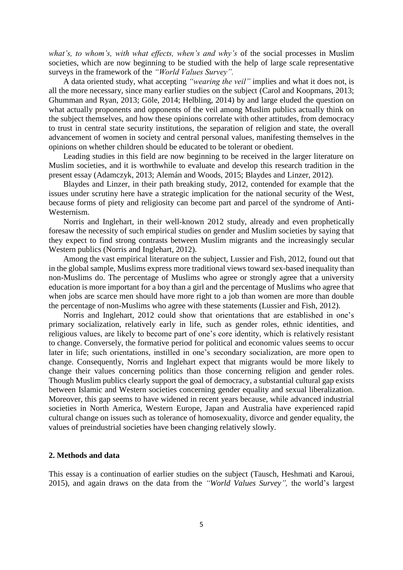what's, to whom's, with what effects, when's and why's of the social processes in Muslim societies, which are now beginning to be studied with the help of large scale representative surveys in the framework of the *"World Values Survey".*

A data oriented study, what accepting *"wearing the veil"* implies and what it does not, is all the more necessary, since many earlier studies on the subject (Carol and Koopmans, 2013; Ghumman and Ryan, 2013; Göle, 2014; Helbling, 2014) by and large eluded the question on what actually proponents and opponents of the veil among Muslim publics actually think on the subject themselves, and how these opinions correlate with other attitudes, from democracy to trust in central state security institutions, the separation of religion and state, the overall advancement of women in society and central personal values, manifesting themselves in the opinions on whether children should be educated to be tolerant or obedient.

Leading studies in this field are now beginning to be received in the larger literature on Muslim societies, and it is worthwhile to evaluate and develop this research tradition in the present essay (Adamczyk, 2013; Alemán and Woods, 2015; Blaydes and Linzer, 2012).

Blaydes and Linzer, in their path breaking study, 2012, contended for example that the issues under scrutiny here have a strategic implication for the national security of the West, because forms of piety and religiosity can become part and parcel of the syndrome of Anti-Westernism.

Norris and Inglehart, in their well-known 2012 study, already and even prophetically foresaw the necessity of such empirical studies on gender and Muslim societies by saying that they expect to find strong contrasts between Muslim migrants and the increasingly secular Western publics (Norris and Inglehart, 2012).

Among the vast empirical literature on the subject, Lussier and Fish, 2012, found out that in the global sample, Muslims express more traditional views toward sex-based inequality than non-Muslims do. The percentage of Muslims who agree or strongly agree that a university education is more important for a boy than a girl and the percentage of Muslims who agree that when jobs are scarce men should have more right to a job than women are more than double the percentage of non-Muslims who agree with these statements (Lussier and Fish, 2012).

Norris and Inglehart, 2012 could show that orientations that are established in one's primary socialization, relatively early in life, such as gender roles, ethnic identities, and religious values, are likely to become part of one's core identity, which is relatively resistant to change. Conversely, the formative period for political and economic values seems to occur later in life; such orientations, instilled in one's secondary socialization, are more open to change. Consequently, Norris and Inglehart expect that migrants would be more likely to change their values concerning politics than those concerning religion and gender roles. Though Muslim publics clearly support the goal of democracy, a substantial cultural gap exists between Islamic and Western societies concerning gender equality and sexual liberalization. Moreover, this gap seems to have widened in recent years because, while advanced industrial societies in North America, Western Europe, Japan and Australia have experienced rapid cultural change on issues such as tolerance of homosexuality, divorce and gender equality, the values of preindustrial societies have been changing relatively slowly.

#### **2. Methods and data**

This essay is a continuation of earlier studies on the subject (Tausch, Heshmati and Karoui, 2015), and again draws on the data from the *"World Values Survey",* the world's largest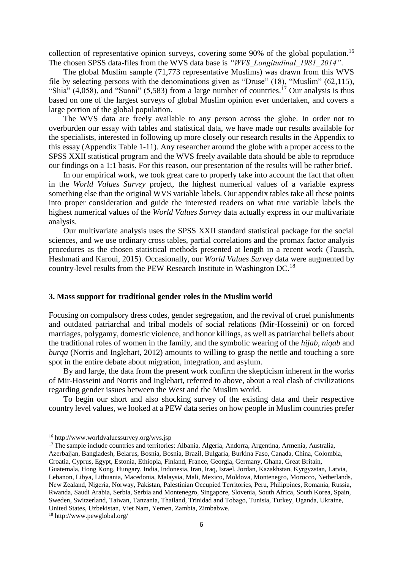collection of representative opinion surveys, covering some 90% of the global population.<sup>16</sup> The chosen SPSS data-files from the WVS data base is *"WVS\_Longitudinal\_1981\_2014"*.

The global Muslim sample (71,773 representative Muslims) was drawn from this WVS file by selecting persons with the denominations given as "Druse" (18), "Muslim" (62,115), "Shia"  $(4,058)$ , and "Sunni"  $(5,583)$  from a large number of countries.<sup>17</sup> Our analysis is thus based on one of the largest surveys of global Muslim opinion ever undertaken, and covers a large portion of the global population.

The WVS data are freely available to any person across the globe. In order not to overburden our essay with tables and statistical data, we have made our results available for the specialists, interested in following up more closely our research results in the Appendix to this essay (Appendix Table 1-11). Any researcher around the globe with a proper access to the SPSS XXII statistical program and the WVS freely available data should be able to reproduce our findings on a 1:1 basis. For this reason, our presentation of the results will be rather brief.

In our empirical work, we took great care to properly take into account the fact that often in the *World Values Survey* project, the highest numerical values of a variable express something else than the original WVS variable labels. Our appendix tables take all these points into proper consideration and guide the interested readers on what true variable labels the highest numerical values of the *World Values Survey* data actually express in our multivariate analysis.

Our multivariate analysis uses the SPSS XXII standard statistical package for the social sciences, and we use ordinary cross tables, partial correlations and the promax factor analysis procedures as the chosen statistical methods presented at length in a recent work (Tausch, Heshmati and Karoui, 2015). Occasionally, our *World Values Survey* data were augmented by country-level results from the PEW Research Institute in Washington DC.<sup>18</sup>

#### **3. Mass support for traditional gender roles in the Muslim world**

Focusing on compulsory dress codes, gender segregation, and the revival of cruel punishments and outdated patriarchal and tribal models of social relations (Mir-Hosseini) or on forced marriages, polygamy, domestic violence, and honor killings, as well as patriarchal beliefs about the traditional roles of women in the family, and the symbolic wearing of the *hijab, niqab* and *burqa* (Norris and Inglehart, 2012) amounts to willing to grasp the nettle and touching a sore spot in the entire debate about migration, integration, and asylum.

By and large, the data from the present work confirm the skepticism inherent in the works of Mir-Hosseini and Norris and Inglehart, referred to above, about a real clash of civilizations regarding gender issues between the West and the Muslim world.

To begin our short and also shocking survey of the existing data and their respective country level values, we looked at a PEW data series on how people in Muslim countries prefer

<sup>17</sup> The sample include countries and territories: Albania, Algeria, Andorra, Argentina, Armenia, Australia, Azerbaijan, Bangladesh, Belarus, Bosnia, Bosnia, Brazil, Bulgaria, Burkina Faso, Canada, China, Colombia, Croatia, Cyprus, Egypt, Estonia, Ethiopia, Finland, France, Georgia, Germany, Ghana, Great Britain, Guatemala, Hong Kong, Hungary, India, Indonesia, Iran, Iraq, Israel, Jordan, Kazakhstan, Kyrgyzstan, Latvia, Lebanon, Libya, Lithuania, Macedonia, Malaysia, Mali, Mexico, Moldova, Montenegro, Morocco, Netherlands, New Zealand, Nigeria, Norway, Pakistan, Palestinian Occupied Territories, Peru, Philippines, Romania, Russia, Rwanda, Saudi Arabia, Serbia, Serbia and Montenegro, Singapore, Slovenia, South Africa, South Korea, Spain, Sweden, Switzerland, Taiwan, Tanzania, Thailand, Trinidad and Tobago, Tunisia, Turkey, Uganda, Ukraine,

United States, Uzbekistan, Viet Nam, Yemen, Zambia, Zimbabwe.

1

<sup>16</sup> http://www.worldvaluessurvey.org/wvs.jsp

<sup>18</sup> http://www.pewglobal.org/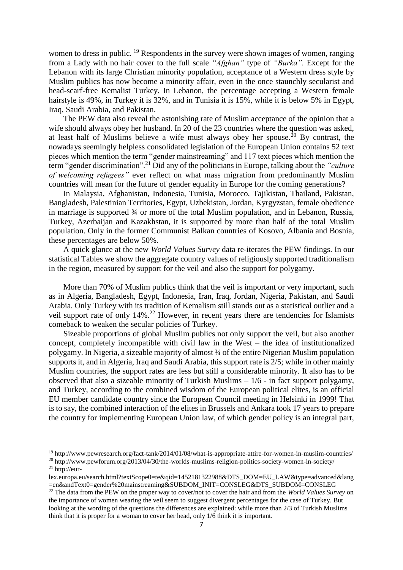women to dress in public. <sup>19</sup> Respondents in the survey were shown images of women, ranging from a Lady with no hair cover to the full scale *"Afghan"* type of *"Burka".* Except for the Lebanon with its large Christian minority population, acceptance of a Western dress style by Muslim publics has now become a minority affair, even in the once staunchly secularist and head-scarf-free Kemalist Turkey. In Lebanon, the percentage accepting a Western female hairstyle is 49%, in Turkey it is 32%, and in Tunisia it is 15%, while it is below 5% in Egypt, Iraq, Saudi Arabia, and Pakistan.

The PEW data also reveal the astonishing rate of Muslim acceptance of the opinion that a wife should always obey her husband. In 20 of the 23 countries where the question was asked, at least half of Muslims believe a wife must always obey her spouse.<sup>20</sup> By contrast, the nowadays seemingly helpless consolidated legislation of the European Union contains 52 text pieces which mention the term "gender mainstreaming" and 117 text pieces which mention the term "gender discrimination".<sup>21</sup> Did any of the politicians in Europe, talking about the *"culture of welcoming refugees*" ever reflect on what mass migration from predominantly Muslim countries will mean for the future of gender equality in Europe for the coming generations?

In Malaysia, Afghanistan, Indonesia, Tunisia, Morocco, Tajikistan, Thailand, Pakistan, Bangladesh, Palestinian Territories, Egypt, Uzbekistan, Jordan, Kyrgyzstan, female obedience in marriage is supported ¾ or more of the total Muslim population, and in Lebanon, Russia, Turkey, Azerbaijan and Kazakhstan, it is supported by more than half of the total Muslim population. Only in the former Communist Balkan countries of Kosovo, Albania and Bosnia, these percentages are below 50%.

A quick glance at the new *World Values Survey* data re-iterates the PEW findings. In our statistical Tables we show the aggregate country values of religiously supported traditionalism in the region, measured by support for the veil and also the support for polygamy.

More than 70% of Muslim publics think that the veil is important or very important, such as in Algeria, Bangladesh, Egypt, Indonesia, Iran, Iraq, Jordan, Nigeria, Pakistan, and Saudi Arabia. Only Turkey with its tradition of Kemalism still stands out as a statistical outlier and a veil support rate of only 14%.<sup>22</sup> However, in recent years there are tendencies for Islamists comeback to weaken the secular policies of Turkey.

Sizeable proportions of global Muslim publics not only support the veil, but also another concept, completely incompatible with civil law in the West – the idea of institutionalized polygamy. In Nigeria, a sizeable majority of almost ¾ of the entire Nigerian Muslim population supports it, and in Algeria, Iraq and Saudi Arabia, this support rate is 2/5; while in other mainly Muslim countries, the support rates are less but still a considerable minority. It also has to be observed that also a sizeable minority of Turkish Muslims – 1/6 - in fact support polygamy, and Turkey, according to the combined wisdom of the European political elites, is an official EU member candidate country since the European Council meeting in Helsinki in 1999! That is to say, the combined interaction of the elites in Brussels and Ankara took 17 years to prepare the country for implementing European Union law, of which gender policy is an integral part,

1

<sup>19</sup> http://www.pewresearch.org/fact-tank/2014/01/08/what-is-appropriate-attire-for-women-in-muslim-countries/

<sup>&</sup>lt;sup>20</sup> http://www.pewforum.org/2013/04/30/the-worlds-muslims-religion-politics-society-women-in-society/  $21$  http://eur-

lex.europa.eu/search.html?textScope0=te&qid=1452181322988&DTS\_DOM=EU\_LAW&type=advanced&lang =en&andText0=gender%20mainstreaming&SUBDOM\_INIT=CONSLEG&DTS\_SUBDOM=CONSLEG

<sup>&</sup>lt;sup>22</sup> The data from the PEW on the proper way to cover/not to cover the hair and from the *World Values Survey* on the importance of women wearing the veil seem to suggest divergent percentages for the case of Turkey. But looking at the wording of the questions the differences are explained: while more than 2/3 of Turkish Muslims think that it is proper for a woman to cover her head, only 1/6 think it is important.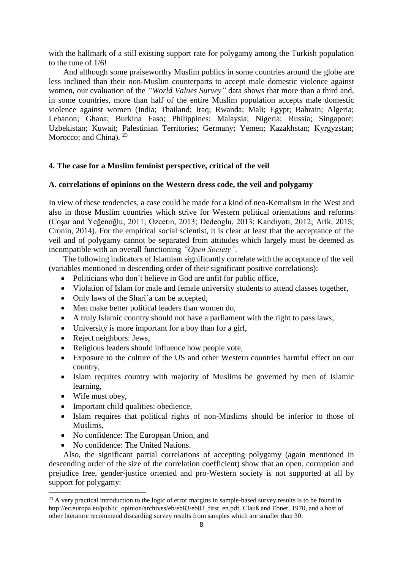with the hallmark of a still existing support rate for polygamy among the Turkish population to the tune of 1/6!

And although some praiseworthy Muslim publics in some countries around the globe are less inclined than their non-Muslim counterparts to accept male domestic violence against women, our evaluation of the *"World Values Survey"* data shows that more than a third and, in some countries, more than half of the entire Muslim population accepts male domestic violence against women (India; Thailand; Iraq; Rwanda; Mali; Egypt; Bahrain; Algeria; Lebanon; Ghana; Burkina Faso; Philippines; Malaysia; Nigeria; Russia; Singapore; Uzbekistan; Kuwait; Palestinian Territories; Germany; Yemen; Kazakhstan; Kyrgyzstan; Morocco; and China). <sup>23</sup>

#### **4. The case for a Muslim feminist perspective, critical of the veil**

#### **A. correlations of opinions on the Western dress code, the veil and polygamy**

In view of these tendencies, a case could be made for a kind of neo-Kemalism in the West and also in those Muslim countries which strive for Western political orientations and reforms (Coşar and Yeğenoğlu, 2011; Ozcetin, 2013; Dedeoglu, 2013; Kandiyoti, 2012; Arik, 2015; Cronin, 2014). For the empirical social scientist, it is clear at least that the acceptance of the veil and of polygamy cannot be separated from attitudes which largely must be deemed as incompatible with an overall functioning *"Open Society".*

The following indicators of Islamism significantly correlate with the acceptance of the veil (variables mentioned in descending order of their significant positive correlations):

- Politicians who don't believe in God are unfit for public office,
- Violation of Islam for male and female university students to attend classes together,
- Only laws of the Shari<sup>'</sup> a can be accepted,
- Men make better political leaders than women do,
- A truly Islamic country should not have a parliament with the right to pass laws,
- University is more important for a boy than for a girl,
- Reject neighbors: Jews.
- Religious leaders should influence how people vote,
- Exposure to the culture of the US and other Western countries harmful effect on our country,
- Islam requires country with majority of Muslims be governed by men of Islamic learning,
- Wife must obey,

 $\overline{a}$ 

- Important child qualities: obedience,
- Islam requires that political rights of non-Muslims should be inferior to those of Muslims,
- No confidence: The European Union, and
- No confidence: The United Nations.

Also, the significant partial correlations of accepting polygamy (again mentioned in descending order of the size of the correlation coefficient) show that an open, corruption and prejudice free, gender-justice oriented and pro-Western society is not supported at all by support for polygamy:

<sup>&</sup>lt;sup>23</sup> A very practical introduction to the logic of error margins in sample-based survey results is to be found in [http://ec.europa.eu/public\\_opinion/archives/eb/eb83/eb83\\_first\\_en.pdf.](http://ec.europa.eu/public_opinion/archives/eb/eb83/eb83_first_en.pdf) Clauß and Ebner, 1970, and a host of other literature recommend discarding survey results from samples which are smaller than 30.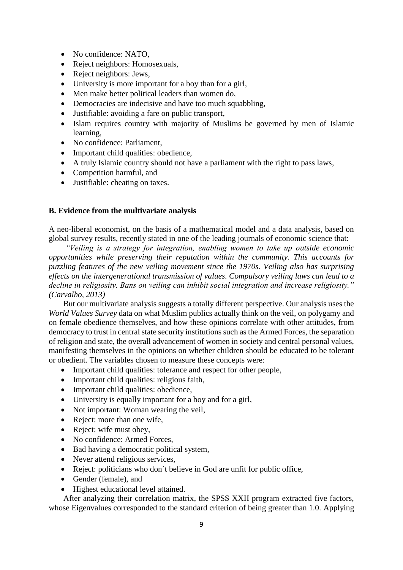- No confidence: NATO,
- Reject neighbors: Homosexuals,
- Reject neighbors: Jews,
- University is more important for a boy than for a girl,
- Men make better political leaders than women do,
- Democracies are indecisive and have too much squabbling,
- Justifiable: avoiding a fare on public transport,
- Islam requires country with majority of Muslims be governed by men of Islamic learning,
- No confidence: Parliament,
- Important child qualities: obedience,
- A truly Islamic country should not have a parliament with the right to pass laws,
- Competition harmful, and
- Justifiable: cheating on taxes.

#### **B. Evidence from the multivariate analysis**

A neo-liberal economist, on the basis of a mathematical model and a data analysis, based on global survey results, recently stated in one of the leading journals of economic science that:

*"Veiling is a strategy for integration, enabling women to take up outside economic opportunities while preserving their reputation within the community. This accounts for puzzling features of the new veiling movement since the 1970s. Veiling also has surprising effects on the intergenerational transmission of values. Compulsory veiling laws can lead to a decline in religiosity. Bans on veiling can inhibit social integration and increase religiosity." (Carvalho, 2013)*

But our multivariate analysis suggests a totally different perspective. Our analysis uses the *World Values Survey* data on what Muslim publics actually think on the veil, on polygamy and on female obedience themselves, and how these opinions correlate with other attitudes, from democracy to trust in central state security institutions such as the Armed Forces, the separation of religion and state, the overall advancement of women in society and central personal values, manifesting themselves in the opinions on whether children should be educated to be tolerant or obedient. The variables chosen to measure these concepts were:

- Important child qualities: tolerance and respect for other people,
- Important child qualities: religious faith,
- Important child qualities: obedience,
- University is equally important for a boy and for a girl,
- Not important: Woman wearing the veil,
- Reject: more than one wife,
- Reject: wife must obey,
- No confidence: Armed Forces,
- Bad having a democratic political system,
- Never attend religious services,
- Reject: politicians who don't believe in God are unfit for public office,
- Gender (female), and
- Highest educational level attained.

After analyzing their correlation matrix, the SPSS XXII program extracted five factors, whose Eigenvalues corresponded to the standard criterion of being greater than 1.0. Applying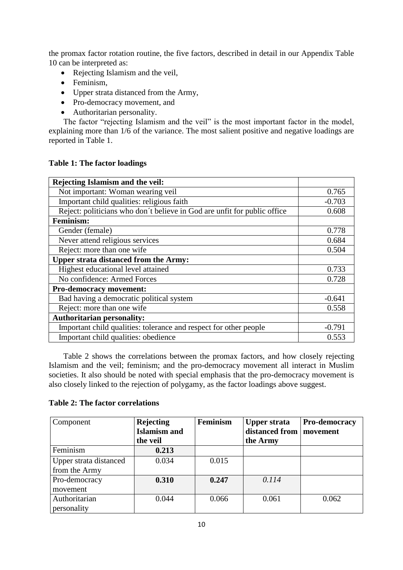the promax factor rotation routine, the five factors, described in detail in our Appendix Table 10 can be interpreted as:

- Rejecting Islamism and the veil,
- Feminism,
- Upper strata distanced from the Army,
- Pro-democracy movement, and
- Authoritarian personality.

The factor "rejecting Islamism and the veil" is the most important factor in the model, explaining more than  $1/6$  of the variance. The most salient positive and negative loadings are reported in Table 1.

| Rejecting Islamism and the veil:                                         |          |
|--------------------------------------------------------------------------|----------|
| Not important: Woman wearing veil                                        | 0.765    |
| Important child qualities: religious faith                               | $-0.703$ |
| Reject: politicians who don't believe in God are unfit for public office | 0.608    |
| <b>Feminism:</b>                                                         |          |
| Gender (female)                                                          | 0.778    |
| Never attend religious services                                          | 0.684    |
| Reject: more than one wife                                               | 0.504    |
| <b>Upper strata distanced from the Army:</b>                             |          |
| Highest educational level attained                                       | 0.733    |
| No confidence: Armed Forces                                              | 0.728    |
| <b>Pro-democracy movement:</b>                                           |          |
| Bad having a democratic political system                                 | $-0.641$ |
| Reject: more than one wife                                               | 0.558    |
| <b>Authoritarian personality:</b>                                        |          |
| Important child qualities: tolerance and respect for other people        | $-0.791$ |
| Important child qualities: obedience                                     | 0.553    |

Table 2 shows the correlations between the promax factors, and how closely rejecting Islamism and the veil; feminism; and the pro-democracy movement all interact in Muslim societies. It also should be noted with special emphasis that the pro-democracy movement is also closely linked to the rejection of polygamy, as the factor loadings above suggest.

#### **Table 2: The factor correlations**

| Component              | <b>Rejecting</b><br><b>Islamism and</b><br>the veil | <b>Feminism</b> | <b>Upper strata</b><br>distanced from | Pro-democracy<br>movement |
|------------------------|-----------------------------------------------------|-----------------|---------------------------------------|---------------------------|
|                        |                                                     |                 | the Army                              |                           |
| Feminism               | 0.213                                               |                 |                                       |                           |
| Upper strata distanced | 0.034                                               | 0.015           |                                       |                           |
| from the Army          |                                                     |                 |                                       |                           |
| Pro-democracy          | 0.310                                               | 0.247           | 0.114                                 |                           |
| movement               |                                                     |                 |                                       |                           |
| Authoritarian          | 0.044                                               | 0.066           | 0.061                                 | 0.062                     |
| personality            |                                                     |                 |                                       |                           |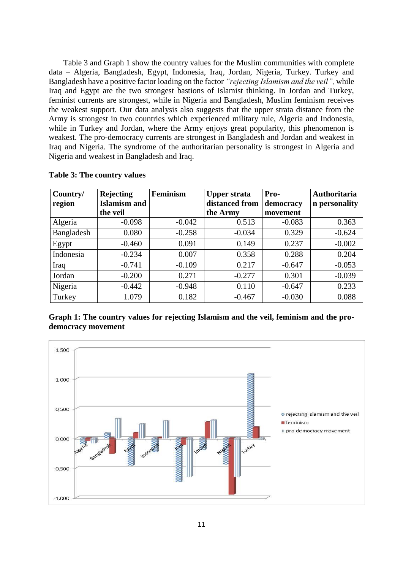Table 3 and Graph 1 show the country values for the Muslim communities with complete data – Algeria, Bangladesh, Egypt, Indonesia, Iraq, Jordan, Nigeria, Turkey. Turkey and Bangladesh have a positive factor loading on the factor *"rejecting Islamism and the veil",* while Iraq and Egypt are the two strongest bastions of Islamist thinking. In Jordan and Turkey, feminist currents are strongest, while in Nigeria and Bangladesh, Muslim feminism receives the weakest support. Our data analysis also suggests that the upper strata distance from the Army is strongest in two countries which experienced military rule, Algeria and Indonesia, while in Turkey and Jordan, where the Army enjoys great popularity, this phenomenon is weakest. The pro-democracy currents are strongest in Bangladesh and Jordan and weakest in Iraq and Nigeria. The syndrome of the authoritarian personality is strongest in Algeria and Nigeria and weakest in Bangladesh and Iraq.

| Country/<br>region | <b>Rejecting</b><br><b>Islamism and</b> | <b>Feminism</b> | <b>Upper strata</b><br>distanced from | Pro-<br>democracy | Authoritaria<br>n personality |
|--------------------|-----------------------------------------|-----------------|---------------------------------------|-------------------|-------------------------------|
|                    | the veil                                |                 | the Army                              | movement          |                               |
| Algeria            | $-0.098$                                | $-0.042$        | 0.513                                 | $-0.083$          | 0.363                         |
| Bangladesh         | 0.080                                   | $-0.258$        | $-0.034$                              | 0.329             | $-0.624$                      |
| Egypt              | $-0.460$                                | 0.091           | 0.149                                 | 0.237             | $-0.002$                      |
| Indonesia          | $-0.234$                                | 0.007           | 0.358                                 | 0.288             | 0.204                         |
| Iraq               | $-0.741$                                | $-0.109$        | 0.217                                 | $-0.647$          | $-0.053$                      |
| Jordan             | $-0.200$                                | 0.271           | $-0.277$                              | 0.301             | $-0.039$                      |
| Nigeria            | $-0.442$                                | $-0.948$        | 0.110                                 | $-0.647$          | 0.233                         |
| Turkey             | 1.079                                   | 0.182           | $-0.467$                              | $-0.030$          | 0.088                         |

**Table 3: The country values**

| Graph 1: The country values for rejecting Islamism and the veil, feminism and the pro- |  |  |  |  |
|----------------------------------------------------------------------------------------|--|--|--|--|
| democracy movement                                                                     |  |  |  |  |

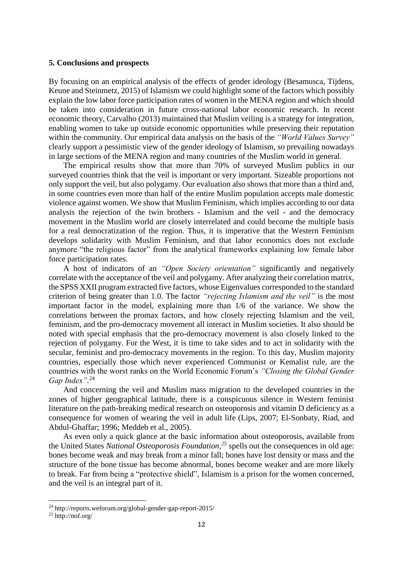#### **5. Conclusions and prospects**

By focusing on an empirical analysis of the effects of gender ideology (Besamusca, Tijdens, Keune and Steinmetz, 2015) of Islamism we could highlight some of the factors which possibly explain the low labor force participation rates of women in the MENA region and which should be taken into consideration in future cross-national labor economic research. In recent economic theory, Carvalho (2013) maintained that Muslim veiling is a strategy for integration, enabling women to take up outside economic opportunities while preserving their reputation within the community. Our empirical data analysis on the basis of the *"World Values Survey"* clearly support a pessimistic view of the gender ideology of Islamism, so prevailing nowadays in large sections of the MENA region and many countries of the Muslim world in general.

The empirical results show that more than 70% of surveyed Muslim publics in our surveyed countries think that the veil is important or very important. Sizeable proportions not only support the veil, but also polygamy. Our evaluation also shows that more than a third and, in some countries even more than half of the entire Muslim population accepts male domestic violence against women. We show that Muslim Feminism, which implies according to our data analysis the rejection of the twin brothers - Islamism and the veil - and the democracy movement in the Muslim world are closely interrelated and could become the multiple basis for a real democratization of the region. Thus, it is imperative that the Western Feminism develops solidarity with Muslim Feminism, and that labor economics does not exclude anymore "the religious factor" from the analytical frameworks explaining low female labor force participation rates.

A host of indicators of an *"Open Society orientation"* significantly and negatively correlate with the acceptance of the veil and polygamy. After analyzing their correlation matrix, the SPSS XXII program extracted five factors, whose Eigenvalues corresponded to the standard criterion of being greater than 1.0. The factor *"rejecting Islamism and the veil"* is the most important factor in the model, explaining more than 1/6 of the variance. We show the correlations between the promax factors, and how closely rejecting Islamism and the veil, feminism, and the pro-democracy movement all interact in Muslim societies. It also should be noted with special emphasis that the pro-democracy movement is also closely linked to the rejection of polygamy. For the West, it is time to take sides and to act in solidarity with the secular, feminist and pro-democracy movements in the region. To this day, Muslim majority countries, especially those which never experienced Communist or Kemalist rule, are the countries with the worst ranks on the World Economic Forum's *"Closing the Global Gender Gap Index".* 24

And concerning the veil and Muslim mass migration to the developed countries in the zones of higher geographical latitude, there is a conspicuous silence in Western feminist literature on the path-breaking medical research on osteoporosis and vitamin D deficiency as a consequence for women of wearing the veil in adult life (Lips, 2007; El-Sonbaty, Riad, and Abdul-Ghaffar; 1996; Meddeb et al., 2005).

As even only a quick glance at the basic information about osteoporosis, available from the United States *National Osteoporosis Foundation,<sup>25</sup>* spells out the consequences in old age: bones become weak and may break from a minor fall; bones have lost density or mass and the structure of the bone tissue has become abnormal, bones become weaker and are more likely to break. Far from being a "protective shield", Islamism is a prison for the women concerned, and the veil is an integral part of it.

1

<sup>24</sup> http://reports.weforum.org/global-gender-gap-report-2015/

 $25$  http://nof.org/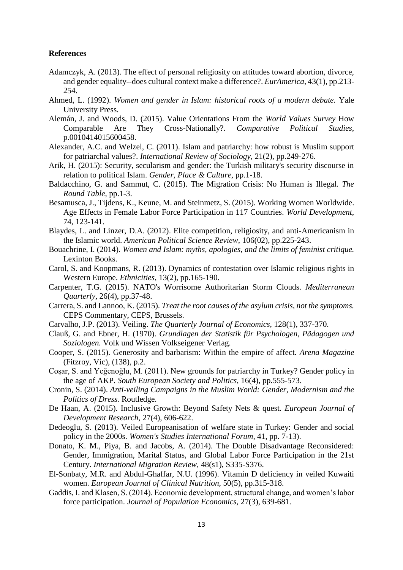#### **References**

- Adamczyk, A. (2013). The effect of personal religiosity on attitudes toward abortion, divorce, and gender equality--does cultural context make a difference?. *EurAmerica,* 43(1), pp.213- 254.
- Ahmed, L. (1992). *Women and gender in Islam: historical roots of a modern debate.* Yale University Press.
- Alemán, J. and Woods, D. (2015). Value Orientations From the *World Values Survey* How Comparable Are They Cross-Nationally?. *Comparative Political Studies,* p.0010414015600458.
- Alexander, A.C. and Welzel, C. (2011). Islam and patriarchy: how robust is Muslim support for patriarchal values?. *International Review of Sociology,* 21(2), pp.249-276.
- Arik, H. (2015): Security, secularism and gender: the Turkish military's security discourse in relation to political Islam. *Gender, Place & Culture,* pp.1-18.
- Baldacchino, G. and Sammut, C. (2015). The Migration Crisis: No Human is Illegal. *The Round Table,* pp.1-3.
- Besamusca, J., Tijdens, K., Keune, M. and Steinmetz, S. (2015). Working Women Worldwide. Age Effects in Female Labor Force Participation in 117 Countries. *World Development,*  74, 123-141.
- Blaydes, L. and Linzer, D.A. (2012). Elite competition, religiosity, and anti-Americanism in the Islamic world. *American Political Science Review,* 106(02), pp.225-243.
- Bouachrine, I. (2014). *Women and Islam: myths, apologies, and the limits of feminist critique.* Lexinton Books.
- Carol, S. and Koopmans, R. (2013). Dynamics of contestation over Islamic religious rights in Western Europe. *Ethnicities,* 13(2), pp.165-190.
- Carpenter, T.G. (2015). NATO's Worrisome Authoritarian Storm Clouds. *Mediterranean Quarterly,* 26(4), pp.37-48.
- Carrera, S. and Lannoo, K. (2015). *Treat the root causes of the asylum crisis, not the symptoms.*  CEPS Commentary, CEPS, Brussels.
- Carvalho, J.P. (2013). Veiling. *The Quarterly Journal of Economics,* 128(1), 337-370.
- Clauß, G. and Ebner, H. (1970). *Grundlagen der Statistik für Psychologen, Pädagogen und Soziologen.* Volk und Wissen Volkseigener Verlag.
- Cooper, S. (2015). Generosity and barbarism: Within the empire of affect. *Arena Magazine*  (Fitzroy, Vic), (138), p.2.
- Coşar, S. and Yeğenoğlu, M. (2011). New grounds for patriarchy in Turkey? Gender policy in the age of AKP. *South European Society and Politics,* 16(4), pp.555-573.
- Cronin, S. (2014). *Anti-veiling Campaigns in the Muslim World: Gender, Modernism and the Politics of Dress.* Routledge.
- De Haan, A. (2015). Inclusive Growth: Beyond Safety Nets & quest. *European Journal of Development Research,* 27(4), 606-622.
- Dedeoglu, S. (2013). Veiled Europeanisation of welfare state in Turkey: Gender and social policy in the 2000s. *Women's Studies International Forum,* 41, pp. 7-13).
- Donato, K. M., Piya, B. and Jacobs, A. (2014). The Double Disadvantage Reconsidered: Gender, Immigration, Marital Status, and Global Labor Force Participation in the 21st Century. *International Migration Review,* 48(s1), S335-S376.
- El-Sonbaty, M.R. and Abdul-Ghaffar, N.U. (1996). Vitamin D deficiency in veiled Kuwaiti women. *European Journal of Clinical Nutrition,* 50(5), pp.315-318.
- Gaddis, I. and Klasen, S. (2014). Economic development, structural change, and women's labor force participation. *Journal of Population Economics,* 27(3), 639-681.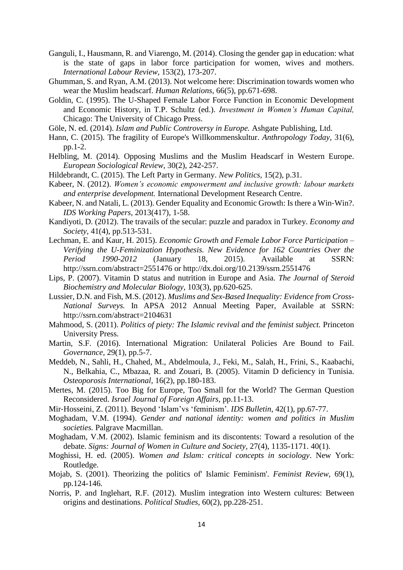- Ganguli, I., Hausmann, R. and Viarengo, M. (2014). Closing the gender gap in education: what is the state of gaps in labor force participation for women, wives and mothers. *International Labour Review,* 153(2), 173-207.
- Ghumman, S. and Ryan, A.M. (2013). Not welcome here: Discrimination towards women who wear the Muslim headscarf. *Human Relations,* 66(5), pp.671-698.
- Goldin, C. (1995). The U-Shaped Female Labor Force Function in Economic Development and Economic History, in T.P. Schultz (ed.). *Investment in Women's Human Capital,* Chicago: The University of Chicago Press.
- Göle, N. ed. (2014). *Islam and Public Controversy in Europe.* Ashgate Publishing, Ltd.
- Hann, C. (2015). The fragility of Europe's Willkommenskultur. *Anthropology Today,* 31(6), pp.1-2.
- Helbling, M. (2014). Opposing Muslims and the Muslim Headscarf in Western Europe. *European Sociological Review,* 30(2), 242-257.
- Hildebrandt, C. (2015). The Left Party in Germany. *New Politics,* 15(2), p.31.
- Kabeer, N. (2012). *Women's economic empowerment and inclusive growth: labour markets and enterprise development.* International Development Research Centre.
- Kabeer, N. and Natali, L. (2013). Gender Equality and Economic Growth: Is there a Win‐Win?. *IDS Working Papers,* 2013(417), 1-58.
- Kandiyoti, D. (2012). The travails of the secular: puzzle and paradox in Turkey. *Economy and Society,* 41(4), pp.513-531.
- Lechman, E. and Kaur, H. 2015). *Economic Growth and Female Labor Force Participation – Verifying the U-Feminization Hypothesis. New Evidence for 162 Countries Over the Period 1990-2012* (January 18, 2015). Available at SSRN: http://ssrn.com/abstract=2551476 or http://dx.doi.org/10.2139/ssrn.2551476
- Lips, P. (2007). Vitamin D status and nutrition in Europe and Asia. *The Journal of Steroid Biochemistry and Molecular Biology,* 103(3), pp.620-625.
- Lussier, D.N. and Fish, M.S. (2012). *Muslims and Sex-Based Inequality: Evidence from Cross-National Surveys.* In APSA 2012 Annual Meeting Paper, Available at SSRN: http://ssrn.com/abstract=2104631
- Mahmood, S. (2011). *Politics of piety: The Islamic revival and the feminist subject.* Princeton University Press.
- Martin, S.F. (2016). International Migration: Unilateral Policies Are Bound to Fail. *Governance,* 29(1), pp.5-7.
- Meddeb, N., Sahli, H., Chahed, M., Abdelmoula, J., Feki, M., Salah, H., Frini, S., Kaabachi, N., Belkahia, C., Mbazaa, R. and Zouari, B. (2005). Vitamin D deficiency in Tunisia. *Osteoporosis International,* 16(2), pp.180-183.
- Mertes, M. (2015). Too Big for Europe, Too Small for the World? The German Question Reconsidered. *Israel Journal of Foreign Affairs,* pp.11-13.
- Mir‐Hosseini, Z. (2011). Beyond 'Islam'vs 'feminism'. *IDS Bulletin,* 42(1), pp.67-77.
- Moghadam, V.M. (1994). *Gender and national identity: women and politics in Muslim societies.* Palgrave Macmillan.
- Moghadam, V.M. (2002). Islamic feminism and its discontents: Toward a resolution of the debate. *Signs: Journal of Women in Culture and Society,* 27(4), 1135-1171. 40(1).
- Moghissi, H. ed. (2005). *Women and Islam: critical concepts in sociology*. New York: Routledge.
- Mojab, S. (2001). Theorizing the politics of' Islamic Feminism'. *Feminist Review,* 69(1), pp.124-146.
- Norris, P. and Inglehart, R.F. (2012). Muslim integration into Western cultures: Between origins and destinations. *Political Studies,* 60(2), pp.228-251.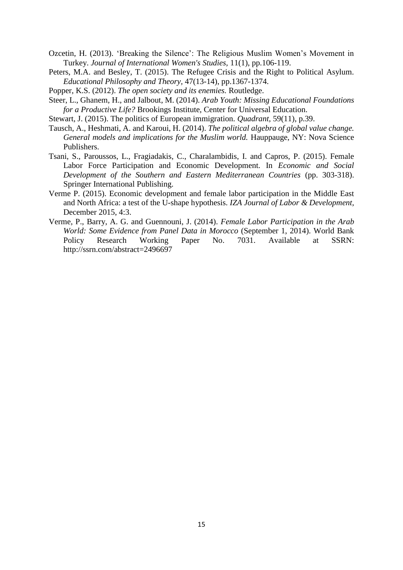- Ozcetin, H. (2013). 'Breaking the Silence': The Religious Muslim Women's Movement in Turkey. *Journal of International Women's Studies,* 11(1), pp.106-119.
- Peters, M.A. and Besley, T. (2015). The Refugee Crisis and the Right to Political Asylum. *Educational Philosophy and Theory,* 47(13-14), pp.1367-1374.
- Popper, K.S. (2012). *The open society and its enemies.* Routledge.
- Steer, L., Ghanem, H., and Jalbout, M. (2014). *Arab Youth: Missing Educational Foundations for a Productive Life?* Brookings Institute, Center for Universal Education.
- Stewart, J. (2015). The politics of European immigration. *Quadrant,* 59(11), p.39.
- Tausch, A., Heshmati, A. and Karoui, H. (2014). *The political algebra of global value change. General models and implications for the Muslim world.* Hauppauge, NY: Nova Science Publishers.
- Tsani, S., Paroussos, L., Fragiadakis, C., Charalambidis, I. and Capros, P. (2015). Female Labor Force Participation and Economic Development. In *Economic and Social Development of the Southern and Eastern Mediterranean Countries* (pp. 303-318). Springer International Publishing.
- Verme P. (2015). Economic development and female labor participation in the Middle East and North Africa: a test of the U-shape hypothesis. *IZA Journal of Labor & Development,* December 2015, 4:3.
- Verme, P., Barry, A. G. and Guennouni, J. (2014). *Female Labor Participation in the Arab World: Some Evidence from Panel Data in Morocco* (September 1, 2014). World Bank Policy Research Working Paper No. 7031. Available at SSRN: http://ssrn.com/abstract=2496697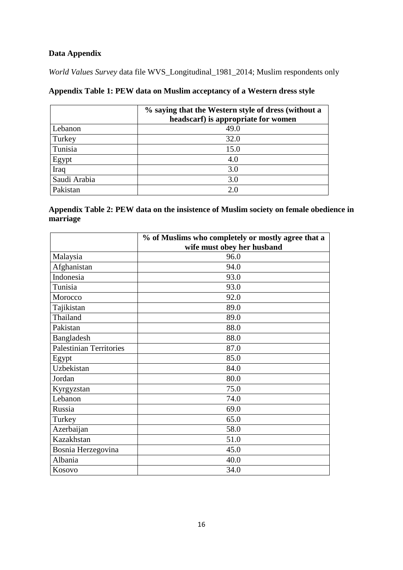# **Data Appendix**

*World Values Survey* data file WVS\_Longitudinal\_1981\_2014; Muslim respondents only

|  | Appendix Table 1: PEW data on Muslim acceptancy of a Western dress style |  |
|--|--------------------------------------------------------------------------|--|
|  |                                                                          |  |

|              | % saying that the Western style of dress (without a<br>headscarf) is appropriate for women |  |  |  |  |
|--------------|--------------------------------------------------------------------------------------------|--|--|--|--|
| Lebanon      | 49.0                                                                                       |  |  |  |  |
| Turkey       | 32.0                                                                                       |  |  |  |  |
| Tunisia      | 15.0                                                                                       |  |  |  |  |
| Egypt        | 4.0                                                                                        |  |  |  |  |
| Iraq         | 3.0                                                                                        |  |  |  |  |
| Saudi Arabia | 3.0                                                                                        |  |  |  |  |
| Pakistan     | 2.0                                                                                        |  |  |  |  |

|          | Appendix Table 2: PEW data on the insistence of Muslim society on female obedience in |  |
|----------|---------------------------------------------------------------------------------------|--|
| marriage |                                                                                       |  |

|                                | % of Muslims who completely or mostly agree that a |
|--------------------------------|----------------------------------------------------|
|                                | wife must obey her husband                         |
| Malaysia                       | 96.0                                               |
| Afghanistan                    | 94.0                                               |
| Indonesia                      | 93.0                                               |
| Tunisia                        | 93.0                                               |
| Morocco                        | 92.0                                               |
| Tajikistan                     | 89.0                                               |
| Thailand                       | 89.0                                               |
| Pakistan                       | 88.0                                               |
| Bangladesh                     | 88.0                                               |
| <b>Palestinian Territories</b> | 87.0                                               |
| Egypt                          | 85.0                                               |
| Uzbekistan                     | 84.0                                               |
| Jordan                         | 80.0                                               |
| Kyrgyzstan                     | 75.0                                               |
| Lebanon                        | 74.0                                               |
| Russia                         | 69.0                                               |
| Turkey                         | 65.0                                               |
| Azerbaijan                     | 58.0                                               |
| Kazakhstan                     | 51.0                                               |
| Bosnia Herzegovina             | 45.0                                               |
| Albania                        | 40.0                                               |
| Kosovo                         | 34.0                                               |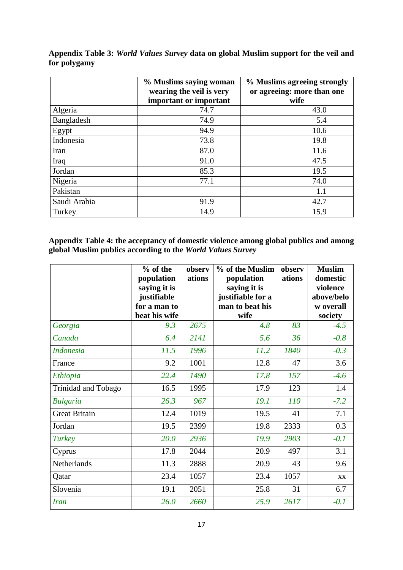|              | % Muslims saying woman<br>wearing the veil is very | % Muslims agreeing strongly<br>or agreeing: more than one |
|--------------|----------------------------------------------------|-----------------------------------------------------------|
|              | important or important                             | wife                                                      |
| Algeria      | 74.7                                               | 43.0                                                      |
| Bangladesh   | 74.9                                               | 5.4                                                       |
| Egypt        | 94.9                                               | 10.6                                                      |
| Indonesia    | 73.8                                               | 19.8                                                      |
| Iran         | 87.0                                               | 11.6                                                      |
| Iraq         | 91.0                                               | 47.5                                                      |
| Jordan       | 85.3                                               | 19.5                                                      |
| Nigeria      | 77.1                                               | 74.0                                                      |
| Pakistan     |                                                    | 1.1                                                       |
| Saudi Arabia | 91.9                                               | 42.7                                                      |
| Turkey       | 14.9                                               | 15.9                                                      |

**Appendix Table 3:** *World Values Survey* **data on global Muslim support for the veil and for polygamy**

**Appendix Table 4: the acceptancy of domestic violence among global publics and among global Muslim publics according to the** *World Values Survey*

|                      | % of the<br>population<br>saying it is | observ<br>ations | % of the Muslim<br>population<br>saying it is | observ<br>ations | <b>Muslim</b><br>domestic<br>violence |
|----------------------|----------------------------------------|------------------|-----------------------------------------------|------------------|---------------------------------------|
|                      | justifiable                            |                  | justifiable for a                             |                  | above/belo                            |
|                      | for a man to<br>beat his wife          |                  | man to beat his<br>wife                       |                  | w overall<br>society                  |
| Georgia              | 9.3                                    | 2675             | 4.8                                           | 83               | $-4.5$                                |
| Canada               | 6.4                                    | 2141             | 5.6                                           | 36               | $-0.8$                                |
| <b>Indonesia</b>     | 11.5                                   | 1996             | 11.2                                          | 1840             | $-0.3$                                |
| France               | 9.2                                    | 1001             | 12.8                                          | 47               | 3.6                                   |
| Ethiopia             | 22.4                                   | 1490             | 17.8                                          | 157              | $-4.6$                                |
| Trinidad and Tobago  | 16.5                                   | 1995             | 17.9                                          | 123              | 1.4                                   |
| <b>Bulgaria</b>      | 26.3                                   | 967              | 19.1                                          | 110              | $-7.2$                                |
| <b>Great Britain</b> | 12.4                                   | 1019             | 19.5                                          | 41               | 7.1                                   |
| Jordan               | 19.5                                   | 2399             | 19.8                                          | 2333             | 0.3                                   |
| Turkey               | 20.0                                   | 2936             | 19.9                                          | 2903             | $-0.1$                                |
| Cyprus               | 17.8                                   | 2044             | 20.9                                          | 497              | 3.1                                   |
| Netherlands          | 11.3                                   | 2888             | 20.9                                          | 43               | 9.6                                   |
| Qatar                | 23.4                                   | 1057             | 23.4                                          | 1057             | <b>XX</b>                             |
| Slovenia             | 19.1                                   | 2051             | 25.8                                          | 31               | 6.7                                   |
| <b>Iran</b>          | 26.0                                   | 2660             | 25.9                                          | 2617             | $-0.1$                                |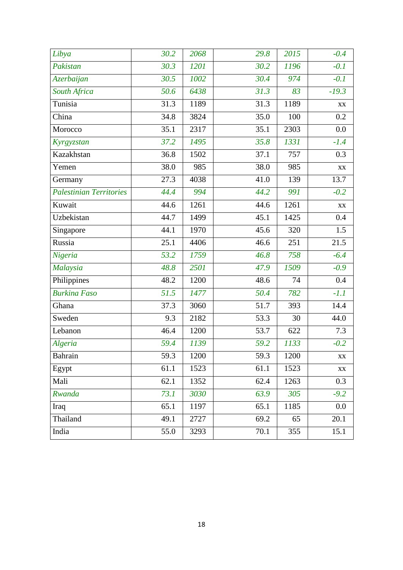| Libya                     | 30.2 | 2068 | 29.8 | 2015 | $-0.4$                  |
|---------------------------|------|------|------|------|-------------------------|
| Pakistan                  | 30.3 | 1201 | 30.2 | 1196 | $-0.1$                  |
| Azerbaijan                | 30.5 | 1002 | 30.4 | 974  | $-0.1$                  |
| South Africa              | 50.6 | 6438 | 31.3 | 83   | $-19.3$                 |
| Tunisia                   | 31.3 | 1189 | 31.3 | 1189 | $\mathbf{X}\mathbf{X}$  |
| $\overline{\text{China}}$ | 34.8 | 3824 | 35.0 | 100  | 0.2                     |
| Morocco                   | 35.1 | 2317 | 35.1 | 2303 | 0.0                     |
| Kyrgyzstan                | 37.2 | 1495 | 35.8 | 1331 | $-1.4$                  |
| Kazakhstan                | 36.8 | 1502 | 37.1 | 757  | 0.3                     |
| Yemen                     | 38.0 | 985  | 38.0 | 985  | $\mathbf{X} \mathbf{X}$ |
| Germany                   | 27.3 | 4038 | 41.0 | 139  | 13.7                    |
| Palestinian Territories   | 44.4 | 994  | 44.2 | 991  | $-0.2$                  |
| Kuwait                    | 44.6 | 1261 | 44.6 | 1261 | $\mathbf{X}\mathbf{X}$  |
| Uzbekistan                | 44.7 | 1499 | 45.1 | 1425 | 0.4                     |
| Singapore                 | 44.1 | 1970 | 45.6 | 320  | 1.5                     |
| Russia                    | 25.1 | 4406 | 46.6 | 251  | 21.5                    |
| Nigeria                   | 53.2 | 1759 | 46.8 | 758  | $-6.4$                  |
| Malaysia                  | 48.8 | 2501 | 47.9 | 1509 | $-0.9$                  |
| Philippines               | 48.2 | 1200 | 48.6 | 74   | 0.4                     |
| <b>Burkina Faso</b>       | 51.5 | 1477 | 50.4 | 782  | $-1.1$                  |
| Ghana                     | 37.3 | 3060 | 51.7 | 393  | 14.4                    |
| Sweden                    | 9.3  | 2182 | 53.3 | 30   | 44.0                    |
| Lebanon                   | 46.4 | 1200 | 53.7 | 622  | 7.3                     |
| Algeria                   | 59.4 | 1139 | 59.2 | 1133 | $-0.2$                  |
| Bahrain                   | 59.3 | 1200 | 59.3 | 1200 | $\mathbf{X}\mathbf{X}$  |
| Egypt                     | 61.1 | 1523 | 61.1 | 1523 | $\mathbf{X}\mathbf{X}$  |
| Mali                      | 62.1 | 1352 | 62.4 | 1263 | 0.3                     |
| Rwanda                    | 73.1 | 3030 | 63.9 | 305  | $-9.2$                  |
| Iraq                      | 65.1 | 1197 | 65.1 | 1185 | 0.0                     |
| Thailand                  | 49.1 | 2727 | 69.2 | 65   | 20.1                    |
| India                     | 55.0 | 3293 | 70.1 | 355  | 15.1                    |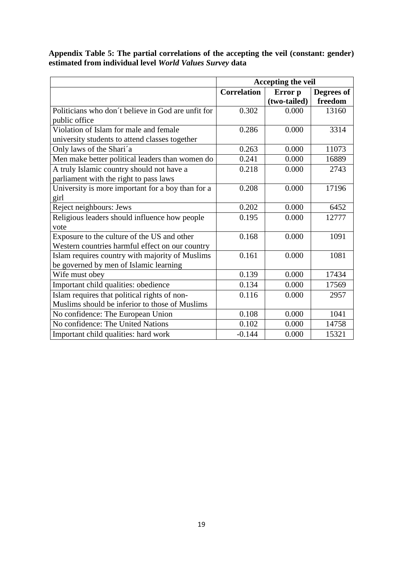**Appendix Table 5: The partial correlations of the accepting the veil (constant: gender) estimated from individual level** *World Values Survey* **data**

|                                                    | Accepting the veil            |              |            |
|----------------------------------------------------|-------------------------------|--------------|------------|
|                                                    | <b>Correlation</b><br>Error p |              | Degrees of |
|                                                    |                               | (two-tailed) | freedom    |
| Politicians who don't believe in God are unfit for | 0.302                         | 0.000        | 13160      |
| public office                                      |                               |              |            |
| Violation of Islam for male and female             | 0.286                         | 0.000        | 3314       |
| university students to attend classes together     |                               |              |            |
| Only laws of the Shari'a                           | 0.263                         | 0.000        | 11073      |
| Men make better political leaders than women do    | 0.241                         | 0.000        | 16889      |
| A truly Islamic country should not have a          | 0.218                         | 0.000        | 2743       |
| parliament with the right to pass laws             |                               |              |            |
| University is more important for a boy than for a  | 0.208                         | 0.000        | 17196      |
| girl                                               |                               |              |            |
| Reject neighbours: Jews                            | 0.202                         | 0.000        | 6452       |
| Religious leaders should influence how people      | 0.195                         | 0.000        | 12777      |
| vote                                               |                               |              |            |
| Exposure to the culture of the US and other        | 0.168                         | 0.000        | 1091       |
| Western countries harmful effect on our country    |                               |              |            |
| Islam requires country with majority of Muslims    | 0.161                         | 0.000        | 1081       |
| be governed by men of Islamic learning             |                               |              |            |
| Wife must obey                                     | 0.139                         | 0.000        | 17434      |
| Important child qualities: obedience               | 0.134                         | 0.000        | 17569      |
| Islam requires that political rights of non-       | 0.116                         | 0.000        | 2957       |
| Muslims should be inferior to those of Muslims     |                               |              |            |
| No confidence: The European Union                  | 0.108                         | 0.000        | 1041       |
| No confidence: The United Nations                  | 0.102                         | 0.000        | 14758      |
| Important child qualities: hard work               | $-0.144$                      | 0.000        | 15321      |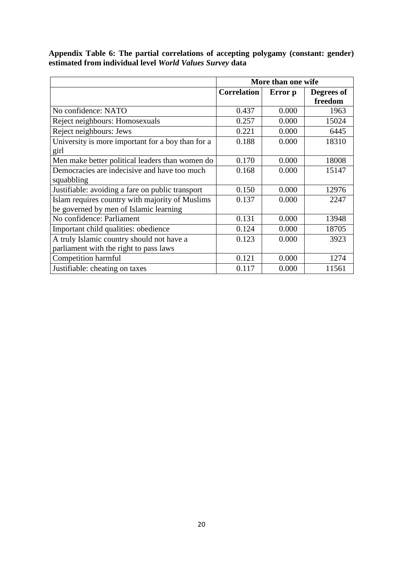|                                                   | More than one wife            |       |            |
|---------------------------------------------------|-------------------------------|-------|------------|
|                                                   | <b>Correlation</b><br>Error p |       | Degrees of |
|                                                   |                               |       | freedom    |
| No confidence: NATO                               | 0.437                         | 0.000 | 1963       |
| Reject neighbours: Homosexuals                    | 0.257                         | 0.000 | 15024      |
| Reject neighbours: Jews                           | 0.221                         | 0.000 | 6445       |
| University is more important for a boy than for a | 0.188                         | 0.000 | 18310      |
| girl                                              |                               |       |            |
| Men make better political leaders than women do   | 0.170                         | 0.000 | 18008      |
| Democracies are indecisive and have too much      | 0.168                         | 0.000 | 15147      |
| squabbling                                        |                               |       |            |
| Justifiable: avoiding a fare on public transport  | 0.150                         | 0.000 | 12976      |
| Islam requires country with majority of Muslims   | 0.137                         | 0.000 | 2247       |
| be governed by men of Islamic learning            |                               |       |            |
| No confidence: Parliament                         | 0.131                         | 0.000 | 13948      |
| Important child qualities: obedience              | 0.124                         | 0.000 | 18705      |
| A truly Islamic country should not have a         | 0.123                         | 0.000 | 3923       |
| parliament with the right to pass laws            |                               |       |            |
| Competition harmful                               | 0.121                         | 0.000 | 1274       |
| Justifiable: cheating on taxes                    | 0.117                         | 0.000 | 11561      |

**Appendix Table 6: The partial correlations of accepting polygamy (constant: gender) estimated from individual level** *World Values Survey* **data**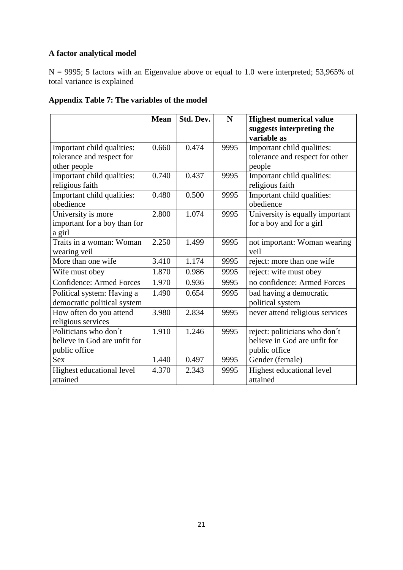### **A factor analytical model**

N = 9995; 5 factors with an Eigenvalue above or equal to 1.0 were interpreted; 53,965% of total variance is explained

### **Appendix Table 7: The variables of the model**

|                                 | <b>Mean</b> | Std. Dev. | N    | <b>Highest numerical value</b>           |
|---------------------------------|-------------|-----------|------|------------------------------------------|
|                                 |             |           |      | suggests interpreting the<br>variable as |
| Important child qualities:      | 0.660       | 0.474     | 9995 | Important child qualities:               |
| tolerance and respect for       |             |           |      | tolerance and respect for other          |
| other people                    |             |           |      | people                                   |
| Important child qualities:      | 0.740       | 0.437     | 9995 | Important child qualities:               |
| religious faith                 |             |           |      | religious faith                          |
| Important child qualities:      | 0.480       | 0.500     | 9995 | Important child qualities:               |
| obedience                       |             |           |      | obedience                                |
| University is more              | 2.800       | 1.074     | 9995 | University is equally important          |
| important for a boy than for    |             |           |      | for a boy and for a girl                 |
| a girl                          |             |           |      |                                          |
| Traits in a woman: Woman        | 2.250       | 1.499     | 9995 | not important: Woman wearing             |
| wearing veil                    |             |           |      | veil                                     |
| More than one wife              | 3.410       | 1.174     | 9995 | reject: more than one wife               |
| Wife must obey                  | 1.870       | 0.986     | 9995 | reject: wife must obey                   |
| <b>Confidence: Armed Forces</b> | 1.970       | 0.936     | 9995 | no confidence: Armed Forces              |
| Political system: Having a      | 1.490       | 0.654     | 9995 | bad having a democratic                  |
| democratic political system     |             |           |      | political system                         |
| How often do you attend         | 3.980       | 2.834     | 9995 | never attend religious services          |
| religious services              |             |           |      |                                          |
| Politicians who don't           | 1.910       | 1.246     | 9995 | reject: politicians who don't            |
| believe in God are unfit for    |             |           |      | believe in God are unfit for             |
| public office                   |             |           |      | public office                            |
| <b>Sex</b>                      | 1.440       | 0.497     | 9995 | Gender (female)                          |
| Highest educational level       | 4.370       | 2.343     | 9995 | Highest educational level                |
| attained                        |             |           |      | attained                                 |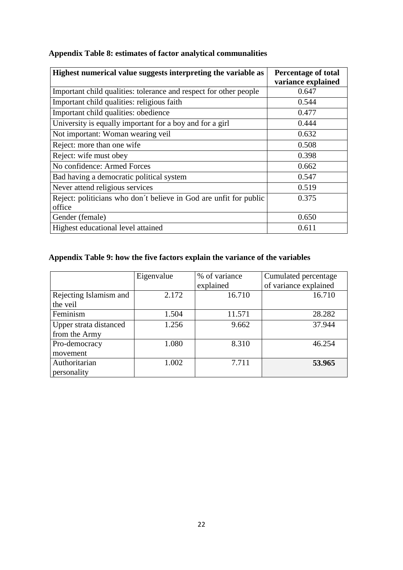| Highest numerical value suggests interpreting the variable as     | <b>Percentage of total</b> |
|-------------------------------------------------------------------|----------------------------|
|                                                                   | variance explained         |
| Important child qualities: tolerance and respect for other people | 0.647                      |
| Important child qualities: religious faith                        | 0.544                      |
| Important child qualities: obedience                              | 0.477                      |
| University is equally important for a boy and for a girl          | 0.444                      |
| Not important: Woman wearing veil                                 | 0.632                      |
| Reject: more than one wife                                        | 0.508                      |
| Reject: wife must obey                                            | 0.398                      |
| No confidence: Armed Forces                                       | 0.662                      |
| Bad having a democratic political system                          | 0.547                      |
| Never attend religious services                                   | 0.519                      |
| Reject: politicians who don't believe in God are unfit for public | 0.375                      |
| office                                                            |                            |
| Gender (female)                                                   | 0.650                      |
| Highest educational level attained                                | 0.611                      |

# **Appendix Table 8: estimates of factor analytical communalities**

# **Appendix Table 9: how the five factors explain the variance of the variables**

|                        | Eigenvalue | % of variance | Cumulated percentage  |
|------------------------|------------|---------------|-----------------------|
|                        |            | explained     | of variance explained |
| Rejecting Islamism and | 2.172      | 16.710        | 16.710                |
| the veil               |            |               |                       |
| Feminism               | 1.504      | 11.571        | 28.282                |
| Upper strata distanced | 1.256      | 9.662         | 37.944                |
| from the Army          |            |               |                       |
| Pro-democracy          | 1.080      | 8.310         | 46.254                |
| movement               |            |               |                       |
| Authoritarian          | 1.002      | 7.711         | 53.965                |
| personality            |            |               |                       |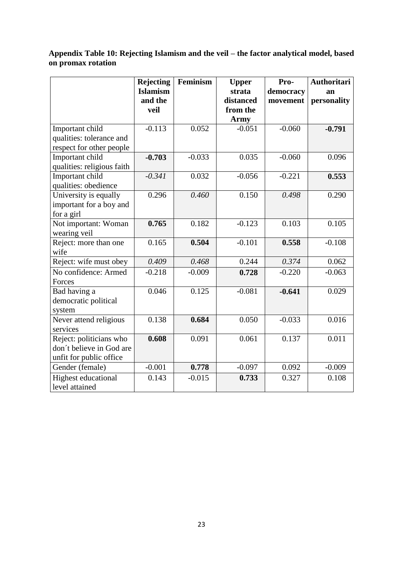### **Appendix Table 10: Rejecting Islamism and the veil – the factor analytical model, based on promax rotation**

|                                                                                | <b>Rejecting</b><br><b>Islamism</b><br>and the<br>veil | Feminism | <b>Upper</b><br>strata<br>distanced<br>from the | Pro-<br>democracy<br>movement | <b>Authoritari</b><br>an<br>personality |
|--------------------------------------------------------------------------------|--------------------------------------------------------|----------|-------------------------------------------------|-------------------------------|-----------------------------------------|
|                                                                                |                                                        |          | <b>Army</b>                                     |                               |                                         |
| Important child<br>qualities: tolerance and<br>respect for other people        | $-0.113$                                               | 0.052    | $-0.051$                                        | $-0.060$                      | $-0.791$                                |
| Important child<br>qualities: religious faith                                  | $-0.703$                                               | $-0.033$ | 0.035                                           | $-0.060$                      | 0.096                                   |
| Important child<br>qualities: obedience                                        | $-0.341$                                               | 0.032    | $-0.056$                                        | $-0.221$                      | 0.553                                   |
| University is equally<br>important for a boy and<br>for a girl                 | 0.296                                                  | 0.460    | 0.150                                           | 0.498                         | 0.290                                   |
| Not important: Woman<br>wearing veil                                           | 0.765                                                  | 0.182    | $-0.123$                                        | 0.103                         | 0.105                                   |
| Reject: more than one<br>wife                                                  | 0.165                                                  | 0.504    | $-0.101$                                        | 0.558                         | $-0.108$                                |
| Reject: wife must obey                                                         | 0.409                                                  | 0.468    | 0.244                                           | 0.374                         | 0.062                                   |
| No confidence: Armed<br>Forces                                                 | $-0.218$                                               | $-0.009$ | 0.728                                           | $-0.220$                      | $-0.063$                                |
| Bad having a<br>democratic political<br>system                                 | 0.046                                                  | 0.125    | $-0.081$                                        | $-0.641$                      | 0.029                                   |
| Never attend religious<br>services                                             | 0.138                                                  | 0.684    | 0.050                                           | $-0.033$                      | 0.016                                   |
| Reject: politicians who<br>don't believe in God are<br>unfit for public office | 0.608                                                  | 0.091    | 0.061                                           | 0.137                         | 0.011                                   |
| Gender (female)                                                                | $-0.001$                                               | 0.778    | $-0.097$                                        | 0.092                         | $-0.009$                                |
| <b>Highest educational</b><br>level attained                                   | 0.143                                                  | $-0.015$ | 0.733                                           | 0.327                         | 0.108                                   |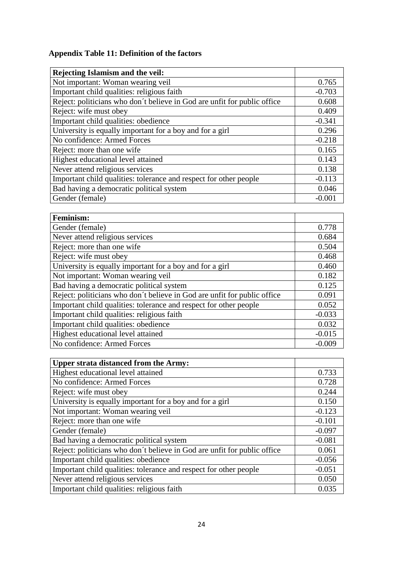# **Appendix Table 11: Definition of the factors**

| Rejecting Islamism and the veil:                                         |          |
|--------------------------------------------------------------------------|----------|
| Not important: Woman wearing veil                                        | 0.765    |
| Important child qualities: religious faith                               | $-0.703$ |
| Reject: politicians who don't believe in God are unfit for public office | 0.608    |
| Reject: wife must obey                                                   | 0.409    |
| Important child qualities: obedience                                     | $-0.341$ |
| University is equally important for a boy and for a girl                 | 0.296    |
| No confidence: Armed Forces                                              | $-0.218$ |
| Reject: more than one wife                                               | 0.165    |
| Highest educational level attained                                       | 0.143    |
| Never attend religious services                                          | 0.138    |
| Important child qualities: tolerance and respect for other people        | $-0.113$ |
| Bad having a democratic political system                                 | 0.046    |
| Gender (female)                                                          | $-0.001$ |

| <b>Feminism:</b>                                                         |          |
|--------------------------------------------------------------------------|----------|
| Gender (female)                                                          | 0.778    |
| Never attend religious services                                          | 0.684    |
| Reject: more than one wife                                               | 0.504    |
| Reject: wife must obey                                                   | 0.468    |
| University is equally important for a boy and for a girl                 | 0.460    |
| Not important: Woman wearing veil                                        | 0.182    |
| Bad having a democratic political system                                 | 0.125    |
| Reject: politicians who don't believe in God are unfit for public office | 0.091    |
| Important child qualities: tolerance and respect for other people        | 0.052    |
| Important child qualities: religious faith                               | $-0.033$ |
| Important child qualities: obedience                                     | 0.032    |
| Highest educational level attained                                       | $-0.015$ |
| No confidence: Armed Forces                                              | $-0.009$ |

| <b>Upper strata distanced from the Army:</b>                             |          |
|--------------------------------------------------------------------------|----------|
| Highest educational level attained                                       | 0.733    |
| No confidence: Armed Forces                                              | 0.728    |
| Reject: wife must obey                                                   | 0.244    |
| University is equally important for a boy and for a girl                 | 0.150    |
| Not important: Woman wearing veil                                        | $-0.123$ |
| Reject: more than one wife                                               | $-0.101$ |
| Gender (female)                                                          | $-0.097$ |
| Bad having a democratic political system                                 | $-0.081$ |
| Reject: politicians who don't believe in God are unfit for public office | 0.061    |
| Important child qualities: obedience                                     | $-0.056$ |
| Important child qualities: tolerance and respect for other people        | $-0.051$ |
| Never attend religious services                                          | 0.050    |
| Important child qualities: religious faith                               | 0.035    |